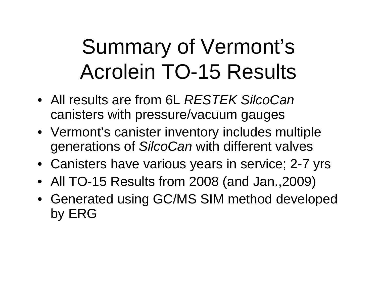## Summary of Vermont's Acrolein TO-15 Results

- All results are from 6L *RESTEK SilcoCan* canisters with pressure/vacuum gauges
- Vermont's canister inventory includes multiple generations of *SilcoCan* with different valves
- Canisters have various years in service; 2-7 yrs
- All TO-15 Results from 2008 (and Jan.,2009)
- Generated using GC/MS SIM method developed by ERG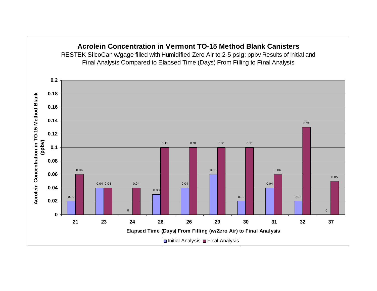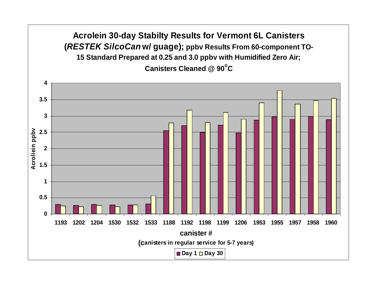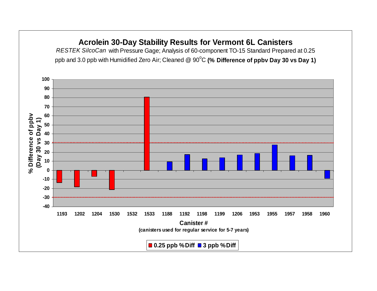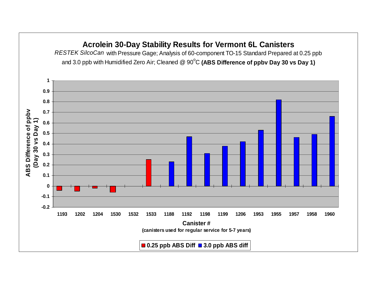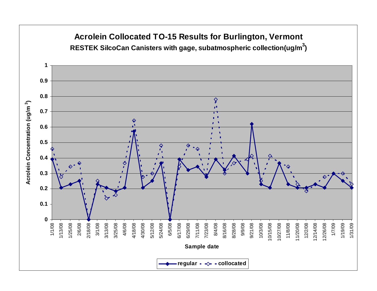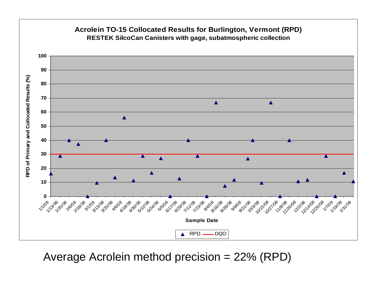

Average Acrolein method precision = 22% (RPD)